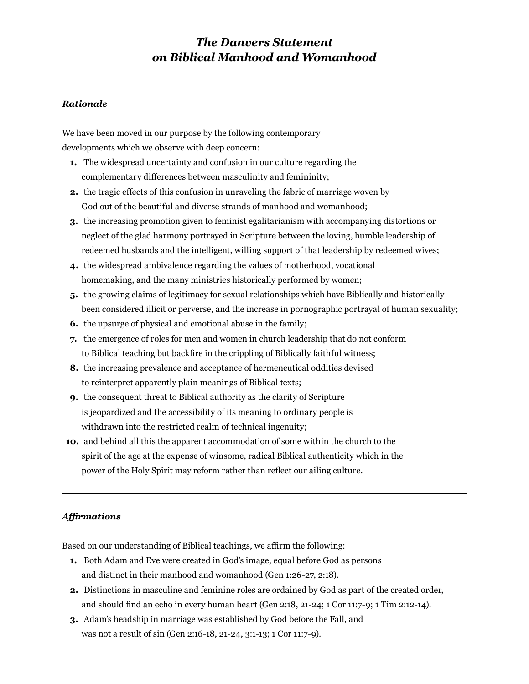## *The Danvers Statement on Biblical Manhood and Womanhood*

## *Rationale*

We have been moved in our purpose by the following contemporary developments which we observe with deep concern:

- **1.** The widespread uncertainty and confusion in our culture regarding the complementary differences between masculinity and femininity;
- **2.** the tragic effects of this confusion in unraveling the fabric of marriage woven by God out of the beautiful and diverse strands of manhood and womanhood;
- **3.** the increasing promotion given to feminist egalitarianism with accompanying distortions or neglect of the glad harmony portrayed in Scripture between the loving, humble leadership of redeemed husbands and the intelligent, willing support of that leadership by redeemed wives;
- **4.** the widespread ambivalence regarding the values of motherhood, vocational homemaking, and the many ministries historically performed by women;
- **5.** the growing claims of legitimacy for sexual relationships which have Biblically and historically been considered illicit or perverse, and the increase in pornographic portrayal of human sexuality;
- **6.** the upsurge of physical and emotional abuse in the family;
- **7.** the emergence of roles for men and women in church leadership that do not conform to Biblical teaching but backfire in the crippling of Biblically faithful witness;
- **8.** the increasing prevalence and acceptance of hermeneutical oddities devised to reinterpret apparently plain meanings of Biblical texts;
- **9.** the consequent threat to Biblical authority as the clarity of Scripture is jeopardized and the accessibility of its meaning to ordinary people is withdrawn into the restricted realm of technical ingenuity;
- **10.** and behind all this the apparent accommodation of some within the church to the spirit of the age at the expense of winsome, radical Biblical authenticity which in the power of the Holy Spirit may reform rather than reflect our ailing culture.

## *Affirmations*

Based on our understanding of Biblical teachings, we affirm the following:

- **1.** Both Adam and Eve were created in God's image, equal before God as persons and distinct in their manhood and womanhood (Gen 1:26-27, 2:18).
- **2.** Distinctions in masculine and feminine roles are ordained by God as part of the created order, and should find an echo in every human heart (Gen 2:18, 21-24; 1 Cor 11:7-9; 1 Tim 2:12-14).
- **3.** Adam's headship in marriage was established by God before the Fall, and was not a result of sin (Gen 2:16-18, 21-24, 3:1-13; 1 Cor 11:7-9).